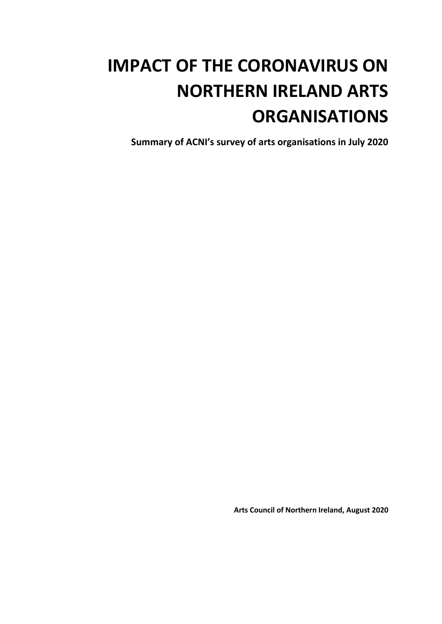## **IMPACT OF THE CORONAVIRUS ON NORTHERN IRELAND ARTS ORGANISATIONS**

**Summary of ACNI's survey of arts organisations in July 2020**

**Arts Council of Northern Ireland, August 2020**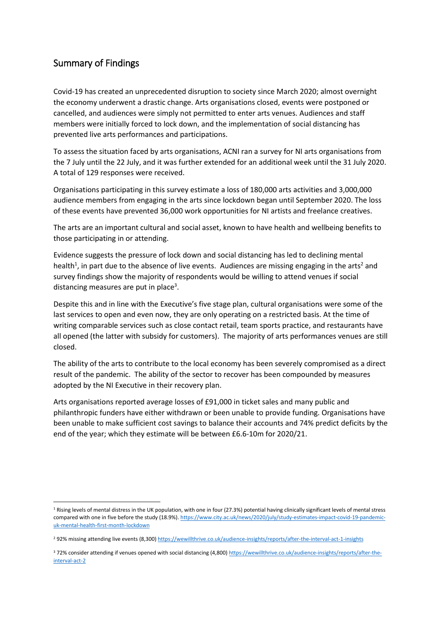## Summary of Findings

**.** 

Covid-19 has created an unprecedented disruption to society since March 2020; almost overnight the economy underwent a drastic change. Arts organisations closed, events were postponed or cancelled, and audiences were simply not permitted to enter arts venues. Audiences and staff members were initially forced to lock down, and the implementation of social distancing has prevented live arts performances and participations.

To assess the situation faced by arts organisations, ACNI ran a survey for NI arts organisations from the 7 July until the 22 July, and it was further extended for an additional week until the 31 July 2020. A total of 129 responses were received.

Organisations participating in this survey estimate a loss of 180,000 arts activities and 3,000,000 audience members from engaging in the arts since lockdown began until September 2020. The loss of these events have prevented 36,000 work opportunities for NI artists and freelance creatives.

The arts are an important cultural and social asset, known to have health and wellbeing benefits to those participating in or attending.

Evidence suggests the pressure of lock down and social distancing has led to declining mental health<sup>1</sup>, in part due to the absence of live events. Audiences are missing engaging in the arts<sup>2</sup> and survey findings show the majority of respondents would be willing to attend venues if social distancing measures are put in place<sup>3</sup>.

Despite this and in line with the Executive's five stage plan, cultural organisations were some of the last services to open and even now, they are only operating on a restricted basis. At the time of writing comparable services such as close contact retail, team sports practice, and restaurants have all opened (the latter with subsidy for customers). The majority of arts performances venues are still closed.

The ability of the arts to contribute to the local economy has been severely compromised as a direct result of the pandemic. The ability of the sector to recover has been compounded by measures adopted by the NI Executive in their recovery plan.

Arts organisations reported average losses of £91,000 in ticket sales and many public and philanthropic funders have either withdrawn or been unable to provide funding. Organisations have been unable to make sufficient cost savings to balance their accounts and 74% predict deficits by the end of the year; which they estimate will be between £6.6-10m for 2020/21.

 $1$  Rising levels of mental distress in the UK population, with one in four (27.3%) potential having clinically significant levels of mental stress compared with one in five before the study (18.9%)[. https://www.city.ac.uk/news/2020/july/study-estimates-impact-covid-19-pandemic](https://www.city.ac.uk/news/2020/july/study-estimates-impact-covid-19-pandemic-uk-mental-health-first-month-lockdown)[uk-mental-health-first-month-lockdown](https://www.city.ac.uk/news/2020/july/study-estimates-impact-covid-19-pandemic-uk-mental-health-first-month-lockdown)

<sup>2</sup> 92% missing attending live events (8,300[\) https://wewillthrive.co.uk/audience-insights/reports/after-the-interval-act-1-insights](https://wewillthrive.co.uk/audience-insights/reports/after-the-interval-act-1-insights)

<sup>372%</sup> consider attending if venues opened with social distancing (4,800[\) https://wewillthrive.co.uk/audience-insights/reports/after-the](https://wewillthrive.co.uk/audience-insights/reports/after-the-interval-act-2)[interval-act-2](https://wewillthrive.co.uk/audience-insights/reports/after-the-interval-act-2)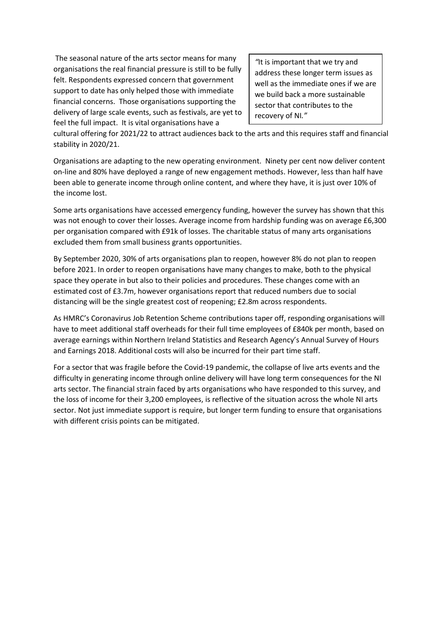The seasonal nature of the arts sector means for many organisations the real financial pressure is still to be fully felt. Respondents expressed concern that government support to date has only helped those with immediate financial concerns. Those organisations supporting the delivery of large scale events, such as festivals, are yet to feel the full impact. It is vital organisations have a

*"*It is important that we try and address these longer term issues as well as the immediate ones if we are we build back a more sustainable sector that contributes to the recovery of NI*."*

cultural offering for 2021/22 to attract audiences back to the arts and this requires staff and financial stability in 2020/21.

Organisations are adapting to the new operating environment. Ninety per cent now deliver content on-line and 80% have deployed a range of new engagement methods. However, less than half have been able to generate income through online content, and where they have, it is just over 10% of the income lost.

Some arts organisations have accessed emergency funding, however the survey has shown that this was not enough to cover their losses. Average income from hardship funding was on average £6,300 per organisation compared with £91k of losses. The charitable status of many arts organisations excluded them from small business grants opportunities.

By September 2020, 30% of arts organisations plan to reopen, however 8% do not plan to reopen before 2021. In order to reopen organisations have many changes to make, both to the physical space they operate in but also to their policies and procedures. These changes come with an estimated cost of £3.7m, however organisations report that reduced numbers due to social distancing will be the single greatest cost of reopening; £2.8m across respondents.

As HMRC's Coronavirus Job Retention Scheme contributions taper off, responding organisations will have to meet additional staff overheads for their full time employees of £840k per month, based on average earnings within Northern Ireland Statistics and Research Agency's Annual Survey of Hours and Earnings 2018. Additional costs will also be incurred for their part time staff.

For a sector that was fragile before the Covid-19 pandemic, the collapse of live arts events and the difficulty in generating income through online delivery will have long term consequences for the NI arts sector. The financial strain faced by arts organisations who have responded to this survey, and the loss of income for their 3,200 employees, is reflective of the situation across the whole NI arts sector. Not just immediate support is require, but longer term funding to ensure that organisations with different crisis points can be mitigated.